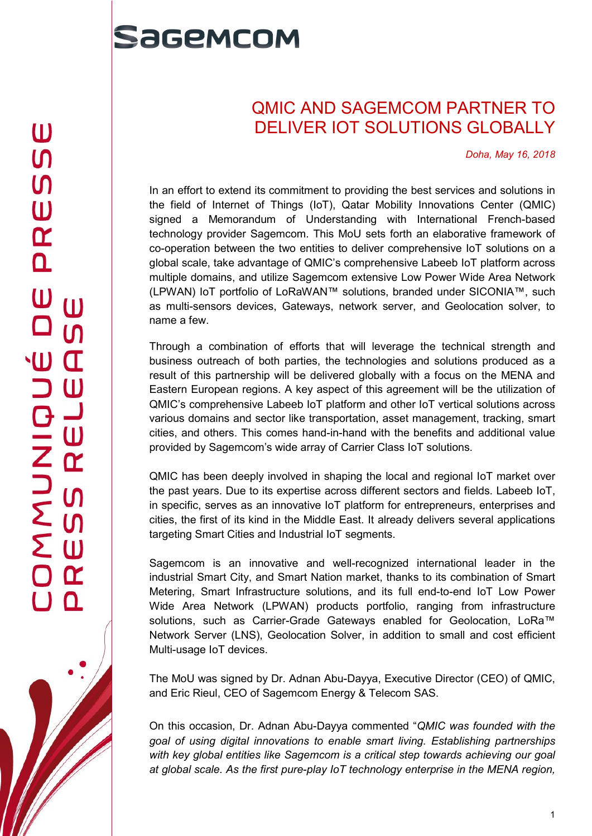## Sagemcom

## QMIC AND SAGEMCOM PARTNER TO DELIVER IOT SOLUTIONS GLOBALLY

Doha, May 16, 2018

In an effort to extend its commitment to providing the best services and solutions in the field of Internet of Things (IoT), Qatar Mobility Innovations Center (QMIC) signed a Memorandum of Understanding with International French-based technology provider Sagemcom. This MoU sets forth an elaborative framework of co-operation between the two entities to deliver comprehensive IoT solutions on a global scale, take advantage of QMIC's comprehensive Labeeb IoT platform across multiple domains, and utilize Sagemcom extensive Low Power Wide Area Network (LPWAN) IoT portfolio of LoRaWAN™ solutions, branded under SICONIA™, such as multi-sensors devices, Gateways, network server, and Geolocation solver, to name a few.

Through a combination of efforts that will leverage the technical strength and business outreach of both parties, the technologies and solutions produced as a result of this partnership will be delivered globally with a focus on the MENA and Eastern European regions. A key aspect of this agreement will be the utilization of QMIC's comprehensive Labeeb IoT platform and other IoT vertical solutions across various domains and sector like transportation, asset management, tracking, smart cities, and others. This comes hand-in-hand with the benefits and additional value provided by Sagemcom's wide array of Carrier Class IoT solutions.

QMIC has been deeply involved in shaping the local and regional IoT market over the past years. Due to its expertise across different sectors and fields. Labeeb IoT, in specific, serves as an innovative IoT platform for entrepreneurs, enterprises and cities, the first of its kind in the Middle East. It already delivers several applications targeting Smart Cities and Industrial IoT segments.

Sagemcom is an innovative and well-recognized international leader in the industrial Smart City, and Smart Nation market, thanks to its combination of Smart Metering, Smart Infrastructure solutions, and its full end-to-end IoT Low Power Wide Area Network (LPWAN) products portfolio, ranging from infrastructure solutions, such as Carrier-Grade Gateways enabled for Geolocation, LoRa<sup>™</sup> Network Server (LNS), Geolocation Solver, in addition to small and cost efficient Multi-usage IoT devices.

The MoU was signed by Dr. Adnan Abu-Dayya, Executive Director (CEO) of QMIC, and Eric Rieul, CEO of Sagemcom Energy & Telecom SAS.

On this occasion, Dr. Adnan Abu-Dayya commented "QMIC was founded with the goal of using digital innovations to enable smart living. Establishing partnerships with key global entities like Sagemcom is a critical step towards achieving our goal at global scale. As the first pure-play IoT technology enterprise in the MENA region,